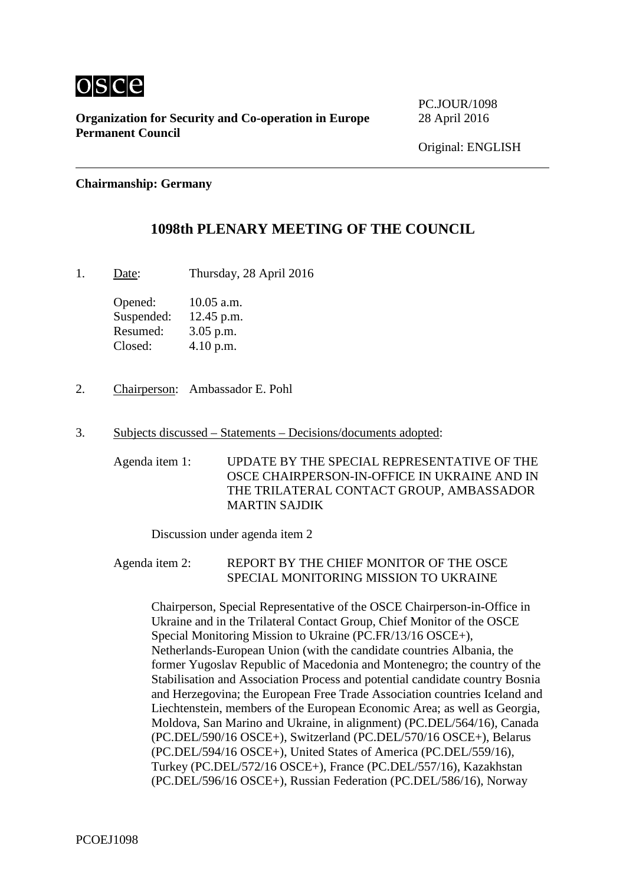

**Organization for Security and Co-operation in Europe** 28 April 2016 **Permanent Council**

**PC.IOUR/1098** 

### **Chairmanship: Germany**

# **1098th PLENARY MEETING OF THE COUNCIL**

1. Date: Thursday, 28 April 2016

Opened: 10.05 a.m. Suspended: 12.45 p.m. Resumed: 3.05 p.m. Closed: 4.10 p.m.

- 2. Chairperson: Ambassador E. Pohl
- 3. Subjects discussed Statements Decisions/documents adopted:

Agenda item 1: UPDATE BY THE SPECIAL REPRESENTATIVE OF THE OSCE CHAIRPERSON-IN-OFFICE IN UKRAINE AND IN THE TRILATERAL CONTACT GROUP, AMBASSADOR MARTIN SAJDIK

Discussion under agenda item 2

Agenda item 2: REPORT BY THE CHIEF MONITOR OF THE OSCE SPECIAL MONITORING MISSION TO UKRAINE

Chairperson, Special Representative of the OSCE Chairperson-in-Office in Ukraine and in the Trilateral Contact Group, Chief Monitor of the OSCE Special Monitoring Mission to Ukraine (PC.FR/13/16 OSCE+), Netherlands-European Union (with the candidate countries Albania, the former Yugoslav Republic of Macedonia and Montenegro; the country of the Stabilisation and Association Process and potential candidate country Bosnia and Herzegovina; the European Free Trade Association countries Iceland and Liechtenstein, members of the European Economic Area; as well as Georgia, Moldova, San Marino and Ukraine, in alignment) (PC.DEL/564/16), Canada (PC.DEL/590/16 OSCE+), Switzerland (PC.DEL/570/16 OSCE+), Belarus (PC.DEL/594/16 OSCE+), United States of America (PC.DEL/559/16), Turkey (PC.DEL/572/16 OSCE+), France (PC.DEL/557/16), Kazakhstan (PC.DEL/596/16 OSCE+), Russian Federation (PC.DEL/586/16), Norway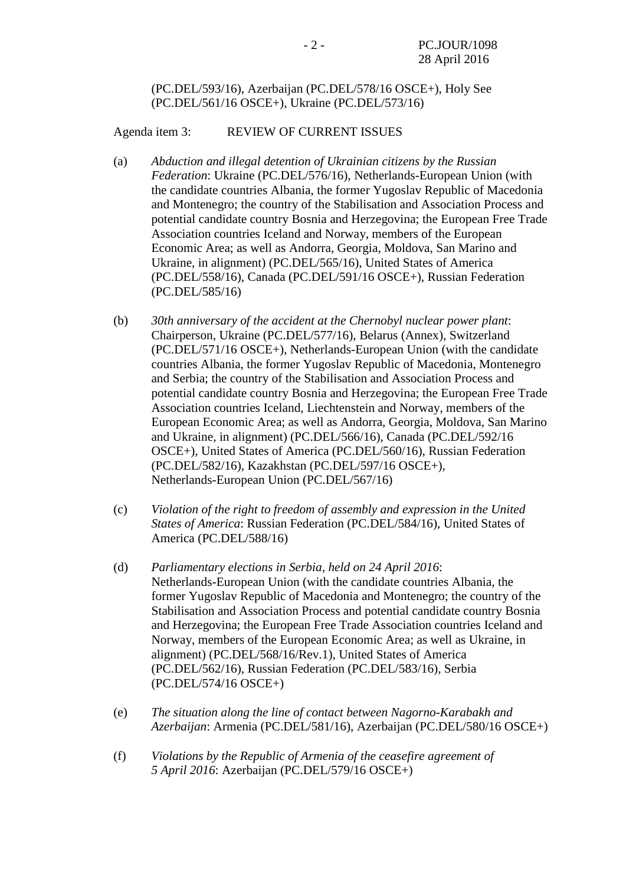### (PC.DEL/593/16), Azerbaijan (PC.DEL/578/16 OSCE+), Holy See (PC.DEL/561/16 OSCE+), Ukraine (PC.DEL/573/16)

Agenda item 3: REVIEW OF CURRENT ISSUES

- (a) *Abduction and illegal detention of Ukrainian citizens by the Russian Federation*: Ukraine (PC.DEL/576/16), Netherlands-European Union (with the candidate countries Albania, the former Yugoslav Republic of Macedonia and Montenegro; the country of the Stabilisation and Association Process and potential candidate country Bosnia and Herzegovina; the European Free Trade Association countries Iceland and Norway, members of the European Economic Area; as well as Andorra, Georgia, Moldova, San Marino and Ukraine, in alignment) (PC.DEL/565/16), United States of America (PC.DEL/558/16), Canada (PC.DEL/591/16 OSCE+), Russian Federation (PC.DEL/585/16)
- (b) *30th anniversary of the accident at the Chernobyl nuclear power plant*: Chairperson, Ukraine (PC.DEL/577/16), Belarus (Annex), Switzerland (PC.DEL/571/16 OSCE+), Netherlands-European Union (with the candidate countries Albania, the former Yugoslav Republic of Macedonia, Montenegro and Serbia; the country of the Stabilisation and Association Process and potential candidate country Bosnia and Herzegovina; the European Free Trade Association countries Iceland, Liechtenstein and Norway, members of the European Economic Area; as well as Andorra, Georgia, Moldova, San Marino and Ukraine, in alignment) (PC.DEL/566/16), Canada (PC.DEL/592/16 OSCE+), United States of America (PC.DEL/560/16), Russian Federation (PC.DEL/582/16), Kazakhstan (PC.DEL/597/16 OSCE+), Netherlands-European Union (PC.DEL/567/16)
- (c) *Violation of the right to freedom of assembly and expression in the United States of America*: Russian Federation (PC.DEL/584/16), United States of America (PC.DEL/588/16)
- (d) *Parliamentary elections in Serbia, held on 24 April 2016*: Netherlands-European Union (with the candidate countries Albania, the former Yugoslav Republic of Macedonia and Montenegro; the country of the Stabilisation and Association Process and potential candidate country Bosnia and Herzegovina; the European Free Trade Association countries Iceland and Norway, members of the European Economic Area; as well as Ukraine, in alignment) (PC.DEL/568/16/Rev.1), United States of America (PC.DEL/562/16), Russian Federation (PC.DEL/583/16), Serbia (PC.DEL/574/16 OSCE+)
- (e) *The situation along the line of contact between Nagorno-Karabakh and Azerbaijan*: Armenia (PC.DEL/581/16), Azerbaijan (PC.DEL/580/16 OSCE+)
- (f) *Violations by the Republic of Armenia of the ceasefire agreement of 5 April 2016*: Azerbaijan (PC.DEL/579/16 OSCE+)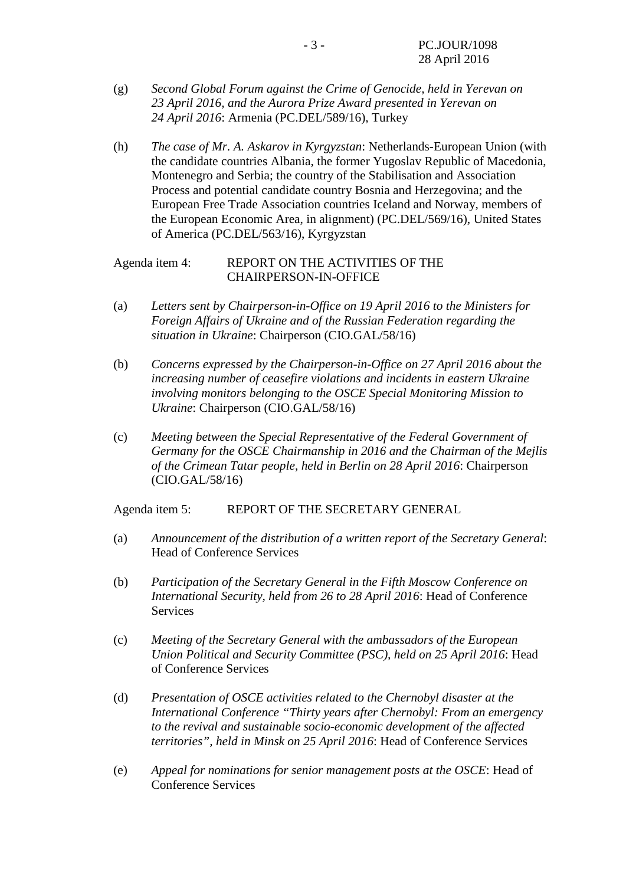- (g) *Second Global Forum against the Crime of Genocide, held in Yerevan on 23 April 2016, and the Aurora Prize Award presented in Yerevan on 24 April 2016*: Armenia (PC.DEL/589/16), Turkey
- (h) *The case of Mr. A. Askarov in Kyrgyzstan*: Netherlands-European Union (with the candidate countries Albania, the former Yugoslav Republic of Macedonia, Montenegro and Serbia; the country of the Stabilisation and Association Process and potential candidate country Bosnia and Herzegovina; and the European Free Trade Association countries Iceland and Norway, members of the European Economic Area, in alignment) (PC.DEL/569/16), United States of America (PC.DEL/563/16), Kyrgyzstan

## Agenda item 4: REPORT ON THE ACTIVITIES OF THE CHAIRPERSON-IN-OFFICE

- (a) *Letters sent by Chairperson-in-Office on 19 April 2016 to the Ministers for Foreign Affairs of Ukraine and of the Russian Federation regarding the situation in Ukraine*: Chairperson (CIO.GAL/58/16)
- (b) *Concerns expressed by the Chairperson-in-Office on 27 April 2016 about the increasing number of ceasefire violations and incidents in eastern Ukraine involving monitors belonging to the OSCE Special Monitoring Mission to Ukraine*: Chairperson (CIO.GAL/58/16)
- (c) *Meeting between the Special Representative of the Federal Government of Germany for the OSCE Chairmanship in 2016 and the Chairman of the Mejlis of the Crimean Tatar people, held in Berlin on 28 April 2016*: Chairperson (CIO.GAL/58/16)

Agenda item 5: REPORT OF THE SECRETARY GENERAL

- (a) *Announcement of the distribution of a written report of the Secretary General*: Head of Conference Services
- (b) *Participation of the Secretary General in the Fifth Moscow Conference on International Security, held from 26 to 28 April 2016*: Head of Conference Services
- (c) *Meeting of the Secretary General with the ambassadors of the European Union Political and Security Committee (PSC), held on 25 April 2016*: Head of Conference Services
- (d) *Presentation of OSCE activities related to the Chernobyl disaster at the International Conference "Thirty years after Chernobyl: From an emergency to the revival and sustainable socio-economic development of the affected territories", held in Minsk on 25 April 2016*: Head of Conference Services
- (e) *Appeal for nominations for senior management posts at the OSCE*: Head of Conference Services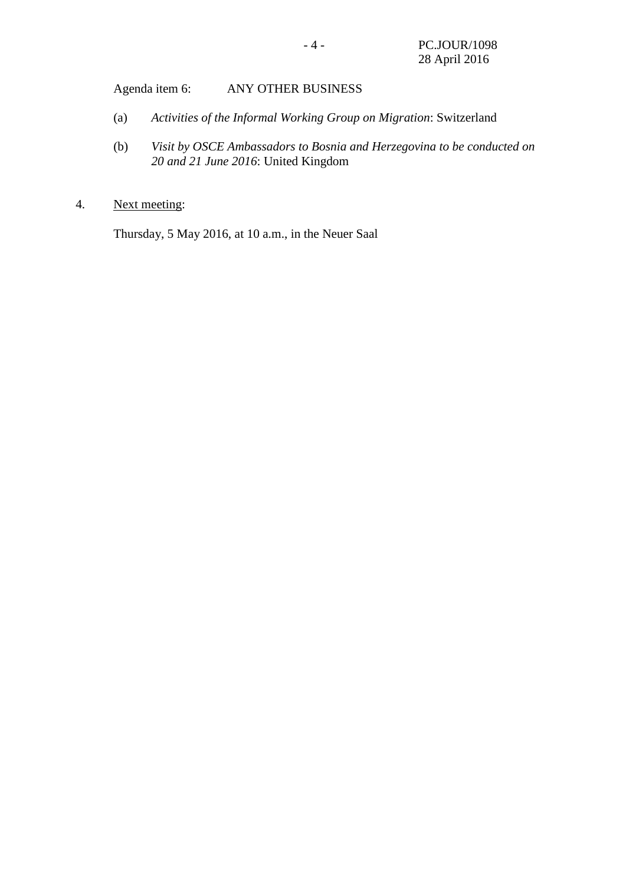Agenda item 6: ANY OTHER BUSINESS

- (a) *Activities of the Informal Working Group on Migration*: Switzerland
- (b) *Visit by OSCE Ambassadors to Bosnia and Herzegovina to be conducted on 20 and 21 June 2016*: United Kingdom
- 4. Next meeting:

Thursday, 5 May 2016, at 10 a.m., in the Neuer Saal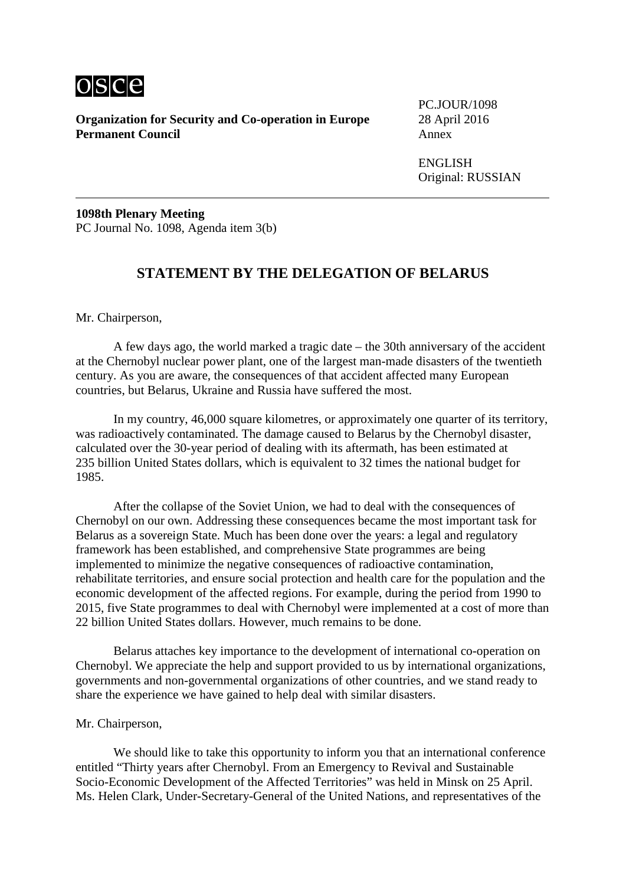

**Organization for Security and Co-operation in Europe** 28 April 2016 **Permanent Council** Annex

PC.JOUR/1098

ENGLISH Original: RUSSIAN

**1098th Plenary Meeting** PC Journal No. 1098, Agenda item 3(b)

# **STATEMENT BY THE DELEGATION OF BELARUS**

Mr. Chairperson,

A few days ago, the world marked a tragic date – the 30th anniversary of the accident at the Chernobyl nuclear power plant, one of the largest man-made disasters of the twentieth century. As you are aware, the consequences of that accident affected many European countries, but Belarus, Ukraine and Russia have suffered the most.

In my country, 46,000 square kilometres, or approximately one quarter of its territory, was radioactively contaminated. The damage caused to Belarus by the Chernobyl disaster, calculated over the 30-year period of dealing with its aftermath, has been estimated at 235 billion United States dollars, which is equivalent to 32 times the national budget for 1985.

After the collapse of the Soviet Union, we had to deal with the consequences of Chernobyl on our own. Addressing these consequences became the most important task for Belarus as a sovereign State. Much has been done over the years: a legal and regulatory framework has been established, and comprehensive State programmes are being implemented to minimize the negative consequences of radioactive contamination, rehabilitate territories, and ensure social protection and health care for the population and the economic development of the affected regions. For example, during the period from 1990 to 2015, five State programmes to deal with Chernobyl were implemented at a cost of more than 22 billion United States dollars. However, much remains to be done.

Belarus attaches key importance to the development of international co-operation on Chernobyl. We appreciate the help and support provided to us by international organizations, governments and non-governmental organizations of other countries, and we stand ready to share the experience we have gained to help deal with similar disasters.

#### Mr. Chairperson,

We should like to take this opportunity to inform you that an international conference entitled "Thirty years after Chernobyl. From an Emergency to Revival and Sustainable Socio-Economic Development of the Affected Territories" was held in Minsk on 25 April. Ms. Helen Clark, Under-Secretary-General of the United Nations, and representatives of the